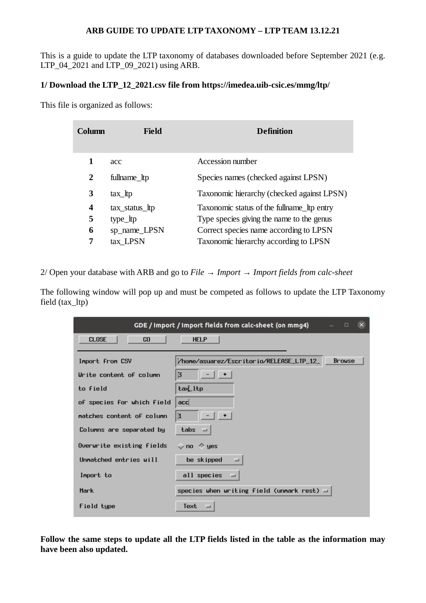## **ARB GUIDE TO UPDATE LTP TAXONOMY – LTP TEAM 13.12.21**

This is a guide to update the LTP taxonomy of databases downloaded before September 2021 (e.g. LTP\_04\_2021 and LTP\_09\_2021) using ARB.

## **1/ Download the LTP\_12\_2021.csv file from<https://imedea.uib-csic.es/mmg/ltp/>**

This file is organized as follows:

| Column | Field          | <b>Definition</b>                          |
|--------|----------------|--------------------------------------------|
| 1      | acc            | Accession number                           |
| 2      | fullname_ltp   | Species names (checked against LPSN)       |
| 3      | $tax_ltp$      | Taxonomic hierarchy (checked against LPSN) |
| 4      | tax_status_ltp | Taxonomic status of the fullname to entry  |
| 5      | type_ltp       | Type species giving the name to the genus  |
| 6      | sp_name_LPSN   | Correct species name according to LPSN     |
| 7      | tax LPSN       | Taxonomic hierarchy according to LPSN      |

2/ Open your database with ARB and go to *File → Import → Import fields from calc-sheet*

The following window will pop up and must be competed as follows to update the LTP Taxonomy field (tax\_ltp)

| GDE / Import / Import fields from calc-sheet (on mmg4)<br>$\mathbf{X}$<br>$\Box$ |                                              |  |  |  |  |  |  |
|----------------------------------------------------------------------------------|----------------------------------------------|--|--|--|--|--|--|
| <b>CLOSE</b><br>GO                                                               | <b>HELP</b>                                  |  |  |  |  |  |  |
|                                                                                  | <b>Brouse</b>                                |  |  |  |  |  |  |
| Import from CSV                                                                  | /home/asuarez/Escritorio/RELEASE_LTP_12_     |  |  |  |  |  |  |
| Urite content of column                                                          | -1+<br>$\overline{3}$                        |  |  |  |  |  |  |
| to field                                                                         | tax_Itp                                      |  |  |  |  |  |  |
| of species for which field                                                       | acc                                          |  |  |  |  |  |  |
| matches content of column                                                        | 1                                            |  |  |  |  |  |  |
| Columns are separated by                                                         | ${\bf t}$ abs $\equiv$                       |  |  |  |  |  |  |
| Overwrite existing fields                                                        | $\sim$ no $\rightsquigarrow$ yes             |  |  |  |  |  |  |
| Unnatched entries will                                                           | be skipped<br>$=$                            |  |  |  |  |  |  |
| Import to                                                                        | all species<br>$=$                           |  |  |  |  |  |  |
| <b>Mark</b>                                                                      | species when writing field (unmark rest) $=$ |  |  |  |  |  |  |
| Field type                                                                       | Text<br>三                                    |  |  |  |  |  |  |

**Follow the same steps to update all the LTP fields listed in the table as the information may have been also updated.**